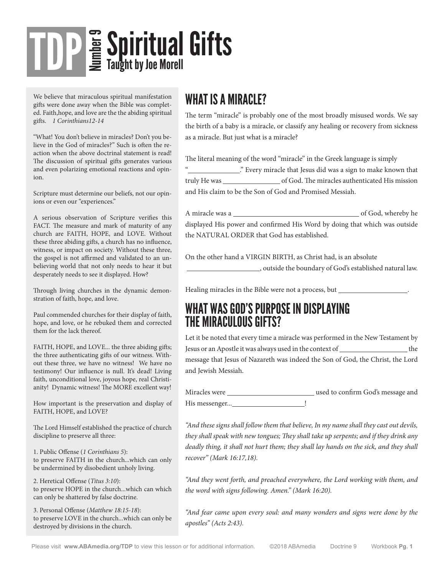# **Sopiritual Gifts** TDP

We believe that miraculous spiritual manifestation gifts were done away when the Bible was completed. Faith,hope, and love are the the abiding spiritual gifts. *1 Corinthians12-14*

"What! You don't believe in miracles? Don't you believe in the God of miracles?" Such is often the reaction when the above doctrinal statement is read! The discussion of spiritual gifts generates various and even polarizing emotional reactions and opinion.

Scripture must determine our beliefs, not our opinions or even our "experiences."

A serious observation of Scripture verifies this FACT. The measure and mark of maturity of any church are FAITH, HOPE, and LOVE. Without these three abiding gifts, a church has no influence, witness, or impact on society. Without these three, the gospel is not affirmed and validated to an unbelieving world that not only needs to hear it but desperately needs to see it displayed. How?

Through living churches in the dynamic demonstration of faith, hope, and love.

Paul commended churches for their display of faith, hope, and love, or he rebuked them and corrected them for the lack thereof.

FAITH, HOPE, and LOVE... the three abiding gifts; the three authenticating gifts of our witness. Without these three, we have no witness! We have no testimony! Our influence is null. It's dead! Living faith, unconditional love, joyous hope, real Christianity! Dynamic witness! The MORE excellent way!

How important is the preservation and display of FAITH, HOPE, and LOVE?

The Lord Himself established the practice of church discipline to preserve all three:

1. Public Offense (*1 Corinthians 5*): to preserve FAITH in the church...which can only be undermined by disobedient unholy living.

2. Heretical Offense (*Titus 3:10*): to preserve HOPE in the church...which can which can only be shattered by false doctrine.

3. Personal Offense (*Matthew 18:15-18*): to preserve LOVE in the church...which can only be destroyed by divisions in the church.

### WHAT IS A MIRACLE?

The term "miracle" is probably one of the most broadly misused words. We say the birth of a baby is a miracle, or classify any healing or recovery from sickness as a miracle. But just what is a miracle?

The literal meaning of the word "miracle" in the Greek language is simply ........." Every miracle that Jesus did was a sign to make known that truly He was \_\_\_\_\_\_\_\_\_\_\_\_\_\_\_\_\_\_\_\_\_\_\_ of God. The miracles authenticated His mission and His claim to be the Son of God and Promised Messiah.

A miracle was a service was a service of God, whereby he displayed His power and confirmed His Word by doing that which was outside the NATURAL ORDER that God has established.

On the other hand a VIRGIN BIRTH, as Christ had, is an absolute , outside the boundary of God's established natural law.

Healing miracles in the Bible were not a process, but .

#### WHAT WAS GOD'S PURPOSE IN DISPLAYING THE MIRACULOUS GIFTS?

Let it be noted that every time a miracle was performed in the New Testament by Jesus or an Apostle it was always used in the context of the the the message that Jesus of Nazareth was indeed the Son of God, the Christ, the Lord and Jewish Messiah.

| Miracles were | used to confirm God's message and |
|---------------|-----------------------------------|
| His messenger |                                   |

*"And these signs shall follow them that believe, In my name shall they cast out devils, they shall speak with new tongues; They shall take up serpents; and if they drink any deadly thing, it shall not hurt them; they shall lay hands on the sick, and they shall recover" (Mark 16:17,18).*

*"And they went forth, and preached everywhere, the Lord working with them, and the word with signs following. Amen." (Mark 16:20).*

*"And fear came upon every soul: and many wonders and signs were done by the apostles" (Acts 2:43).*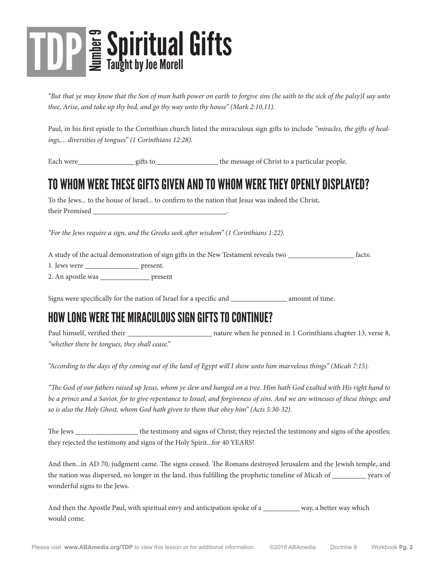# **TDP** E Spiritual Gifts Taught by Joe Morell

*"But that ye may know that the Son of man hath power on earth to forgive sins (he saith to the sick of the palsy)I say unto thee, Arise, and take up thy bed, and go thy way unto thy house" (Mark 2:10,11).*

Paul, in his first epistle to the Corinthian church listed the miraculous sign gifts to include *"miracles, the gifts of healings,... diversities of tongues" (1 Corinthians 12:28).*

Each were gifts to gifts to gifts to the message of Christ to a particular people.

## TO WHOM WERE THESE GIFTS GIVEN AND TO WHOM WERE THEY OPENLY DISPLAYED?

To the Jews... to the house of Israel... to confirm to the nation that Jesus was indeed the Christ, their Promised .

*"For the Jews require a sign, and the Greeks seek after wisdom" (1 Corinthians 1:22).*

A study of the actual demonstration of sign gifts in the New Testament reveals two *facts:* 

1. Jews were present.

2. An apostle was \_\_\_\_\_\_\_\_\_\_\_\_\_\_\_\_\_\_ present

Signs were specifically for the nation of Israel for a specific and \_\_\_\_\_\_\_\_\_\_\_\_\_\_\_\_\_ amount of time.

### HOW LONG WERE THE MIRACULOUS SIGN GIFTS TO CONTINUE?

Paul himself, verified their  $\frac{1}{\sqrt{1-\frac{1}{\sqrt{1-\frac{1}{\sqrt{1-\frac{1}{\sqrt{1-\frac{1}{\sqrt{1-\frac{1}{\sqrt{1-\frac{1}{\sqrt{1-\frac{1}{\sqrt{1-\frac{1}{\sqrt{1-\frac{1}{\sqrt{1-\frac{1}{\sqrt{1-\frac{1}{\sqrt{1-\frac{1}{\sqrt{1-\frac{1}{\sqrt{1-\frac{1}{\sqrt{1-\frac{1}{\sqrt{1-\frac{1}{\sqrt{1-\frac{1}{\sqrt{1-\frac{1}{\sqrt{1-\frac{1}{\sqrt{1-\frac{1}{\sqrt{1-\frac{$ *"whether there be tongues, they shall cease."*

*"According to the days of thy coming out of the land of Egypt will I show unto him marvelous things" (Micah 7:15).*

*"The God of our fathers raised up Jesus, whom ye slew and hanged on a tree. Him hath God exalted with His right hand to be a prince and a Savior, for to give repentance to Israel, and forgiveness of sins. And we are witnesses of these things; and so is also the Holy Ghost, whom God hath given to them that obey him" (Acts 5:30-32).*

The Jews the testimony and signs of Christ; they rejected the testimony and signs of the apostles; they rejected the testimony and signs of the Holy Spirit...for 40 YEARS!

And then...in AD 70, judgment came. The signs ceased. The Romans destroyed Jerusalem and the Jewish temple, and the nation was dispersed, no longer in the land, thus fulfilling the prophetic timeline of Micah of years of wonderful signs to the Jews.

And then the Apostle Paul, with spiritual envy and anticipation spoke of a way, a better way which would come.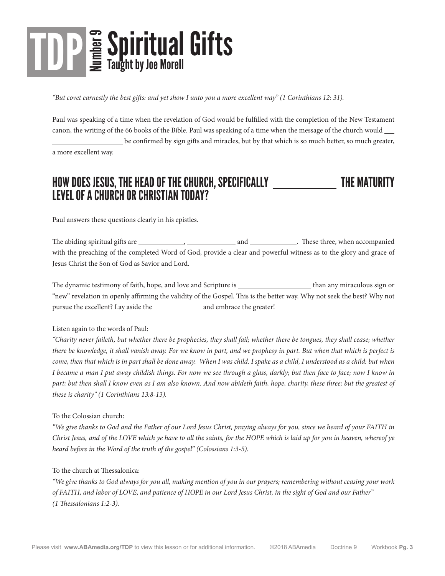# **TDP** E Spiritual Gifts Taught by Joe Morell

*"But covet earnestly the best gifts: and yet show I unto you a more excellent way" (1 Corinthians 12: 31).*

Paul was speaking of a time when the revelation of God would be fulfilled with the completion of the New Testament canon, the writing of the 66 books of the Bible. Paul was speaking of a time when the message of the church would be confirmed by sign gifts and miracles, but by that which is so much better, so much greater,

a more excellent way.

### HOW DOES JESUS, THE HEAD OF THE CHURCH, SPECIFICALLY \_\_\_\_\_\_\_\_\_\_\_\_\_\_\_\_\_\_\_\_\_\_\_\_\_\_\_ THE MATURITY LEVEL OF A CHURCH OR CHRISTIAN TODAY?

Paul answers these questions clearly in his epistles.

The abiding spiritual gifts are  $\qquad \qquad , \qquad \qquad$  and  $\qquad \qquad .$  These three, when accompanied with the preaching of the completed Word of God, provide a clear and powerful witness as to the glory and grace of Jesus Christ the Son of God as Savior and Lord.

The dynamic testimony of faith, hope, and love and Scripture is than any miraculous sign or "new" revelation in openly affirming the validity of the Gospel. This is the better way. Why not seek the best? Why not pursue the excellent? Lay aside the and embrace the greater!

#### Listen again to the words of Paul:

*"Charity never faileth, but whether there be prophecies, they shall fail; whether there be tongues, they shall cease; whether there be knowledge, it shall vanish away. For we know in part, and we prophesy in part. But when that which is perfect is come, then that which is in part shall be done away. When I was child. I spake as a child, I understood as a child: but when I became a man I put away childish things. For now we see through a glass, darkly; but then face to face; now I know in part; but then shall I know even as I am also known. And now abideth faith, hope, charity, these three; but the greatest of these is charity" (1 Corinthians 13:8-13).*

#### To the Colossian church:

*"We give thanks to God and the Father of our Lord Jesus Christ, praying always for you, since we heard of your FAITH in Christ Jesus, and of the LOVE which ye have to all the saints, for the HOPE which is laid up for you in heaven, whereof ye heard before in the Word of the truth of the gospel" (Colossians 1:3-5).*

#### To the church at Thessalonica:

*"We give thanks to God always for you all, making mention of you in our prayers; remembering without ceasing your work of FAITH, and labor of LOVE, and patience of HOPE in our Lord Jesus Christ, in the sight of God and our Father" (1 Thessalonians 1:2-3).*